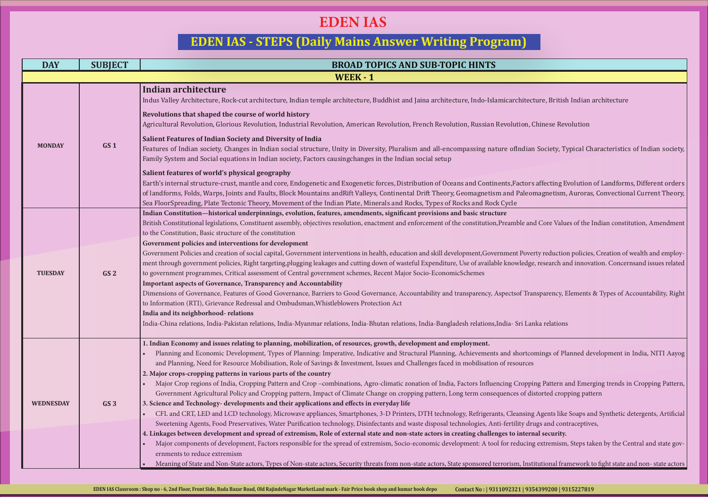### ture, British Indian architecture, Buddhist and Indian architecture, Indo-Islamicarchitecture, British Indian architecture, B

n Society, Typical Characteristics of Indian society,

s affecting Evolution of Landforms, Different orders magnetism, Auroras, Convectional Current Theory,

d Core Values of the Indian constitution, Amendment

erty reduction policies, Creation of wealth and employe, research and innovation. Concernsand issues related

Insparency, Elements & Types of Accountability, Right

et and Equanomic Development in India, NITI Aayog

ing Pattern and Emerging trends in Cropping Pattern, istorted cropping pattern

g Agents like Soaps and Synthetic detergents, Artificial ugs and contraceptives,

e extremism, Steps taken by the Central and state gov-

titutional framework to fight state and non-state actors

| <b>DAY</b>       | <b>SUBJECT</b>  | <b>BROAD TOPICS AND SUB-TOPIC HINTS</b>                                                                                                                                                                                                                                                                                                                                                                                                                                                                                                                                                                                                                                                                                                                                                                                                                                                                                                                                                                                                                                                                                                                                                                                                                                                                                                                                                                                                                                                                                                                                                                                                                                                                                         |
|------------------|-----------------|---------------------------------------------------------------------------------------------------------------------------------------------------------------------------------------------------------------------------------------------------------------------------------------------------------------------------------------------------------------------------------------------------------------------------------------------------------------------------------------------------------------------------------------------------------------------------------------------------------------------------------------------------------------------------------------------------------------------------------------------------------------------------------------------------------------------------------------------------------------------------------------------------------------------------------------------------------------------------------------------------------------------------------------------------------------------------------------------------------------------------------------------------------------------------------------------------------------------------------------------------------------------------------------------------------------------------------------------------------------------------------------------------------------------------------------------------------------------------------------------------------------------------------------------------------------------------------------------------------------------------------------------------------------------------------------------------------------------------------|
|                  |                 | <b>WEEK - 1</b>                                                                                                                                                                                                                                                                                                                                                                                                                                                                                                                                                                                                                                                                                                                                                                                                                                                                                                                                                                                                                                                                                                                                                                                                                                                                                                                                                                                                                                                                                                                                                                                                                                                                                                                 |
|                  |                 | <b>Indian architecture</b><br>Indus Valley Architecture, Rock-cut architecture, Indian temple architecture, Buddhist and Jaina architecture, Indo-Islamicarchitecture, British Indian                                                                                                                                                                                                                                                                                                                                                                                                                                                                                                                                                                                                                                                                                                                                                                                                                                                                                                                                                                                                                                                                                                                                                                                                                                                                                                                                                                                                                                                                                                                                           |
| <b>MONDAY</b>    |                 | Revolutions that shaped the course of world history<br>Agricultural Revolution, Glorious Revolution, Industrial Revolution, American Revolution, French Revolution, Russian Revolution, Chinese Revolution                                                                                                                                                                                                                                                                                                                                                                                                                                                                                                                                                                                                                                                                                                                                                                                                                                                                                                                                                                                                                                                                                                                                                                                                                                                                                                                                                                                                                                                                                                                      |
|                  | GS <sub>1</sub> | <b>Salient Features of Indian Society and Diversity of India</b><br>Features of Indian society, Changes in Indian social structure, Unity in Diversity, Pluralism and all-encompassing nature ofIndian Society, Typical C<br>Family System and Social equations in Indian society, Factors causing changes in the Indian social setup                                                                                                                                                                                                                                                                                                                                                                                                                                                                                                                                                                                                                                                                                                                                                                                                                                                                                                                                                                                                                                                                                                                                                                                                                                                                                                                                                                                           |
|                  |                 | Salient features of world's physical geography<br>Earth's internal structure-crust, mantle and core, Endogenetic and Exogenetic forces, Distribution of Oceans and Continents, Factors affecting Evolution<br>of landforms, Folds, Warps, Joints and Faults, Block Mountains andRift Valleys, Continental Drift Theory, Geomagnetism and Paleomagnetism, Aurora<br>Sea FloorSpreading, Plate Tectonic Theory, Movement of the Indian Plate, Minerals and Rocks, Types of Rocks and Rock Cycle                                                                                                                                                                                                                                                                                                                                                                                                                                                                                                                                                                                                                                                                                                                                                                                                                                                                                                                                                                                                                                                                                                                                                                                                                                   |
| <b>TUESDAY</b>   | GS <sub>2</sub> | Indian Constitution-historical underpinnings, evolution, features, amendments, significant provisions and basic structure<br>British Constitutional legislations, Constituent assembly, objectives resolution, enactment and enforcement of the constitution, Preamble and Core Values of the<br>to the Constitution, Basic structure of the constitution<br>Government policies and interventions for development<br>Government Policies and creation of social capital, Government interventions in health, education and skill development, Government Poverty reduction policie<br>ment through government policies, Right targeting,plugging leakages and cutting down of wasteful Expenditure, Use of available knowledge, research and innov<br>to government programmes, Critical assessment of Central government schemes, Recent Major Socio-EconomicSchemes<br>Important aspects of Governance, Transparency and Accountability<br>Dimensions of Governance, Features of Good Governance, Barriers to Good Governance, Accountability and transparency, Aspectsof Transparency, Elements<br>to Information (RTI), Grievance Redressal and Ombudsman, Whistleblowers Protection Act<br>India and its neighborhood-relations<br>India-China relations, India-Pakistan relations, India-Myanmar relations, India-Bhutan relations, India-Bangladesh relations, India- Sri Lanka relations                                                                                                                                                                                                                                                                                                                               |
| <b>WEDNESDAY</b> | GS <sub>3</sub> | 1. Indian Economy and issues relating to planning, mobilization, of resources, growth, development and employment.<br>Planning and Economic Development, Types of Planning: Imperative, Indicative and Structural Planning, Achievements and shortcomings of Planned d<br>and Planning, Need for Resource Mobilisation, Role of Savings & Investment, Issues and Challenges faced in mobilisation of resources<br>2. Major crops-cropping patterns in various parts of the country<br>Major Crop regions of India, Cropping Pattern and Crop -combinations, Agro-climatic zonation of India, Factors Influencing Cropping Pattern and Eme<br>Government Agricultural Policy and Cropping pattern, Impact of Climate Change on cropping pattern, Long term consequences of distorted cropping pat<br>3. Science and Technology- developments and their applications and effects in everyday life<br>CFL and CRT, LED and LCD technology, Microwave appliances, Smartphones, 3-D Printers, DTH technology, Refrigerants, Cleansing Agents like Soaps a<br>Sweetening Agents, Food Preservatives, Water Purification technology, Disinfectants and waste disposal technologies, Anti-fertility drugs and contraceptiv<br>4. Linkages between development and spread of extremism, Role of external state and non-state actors in creating challenges to internal security.<br>Major components of development, Factors responsible for the spread of extremism, Socio-economic development: A tool for reducing extremism, Steps t<br>ernments to reduce extremism<br>Meaning of State and Non-State actors, Types of Non-state actors, Security threats from non-state actors, State sponsored terrorism, Institutional framework |

# **EDEN IAS - STEPS (Daily Mains Answer Writing Program)**

# **EDEN IAS**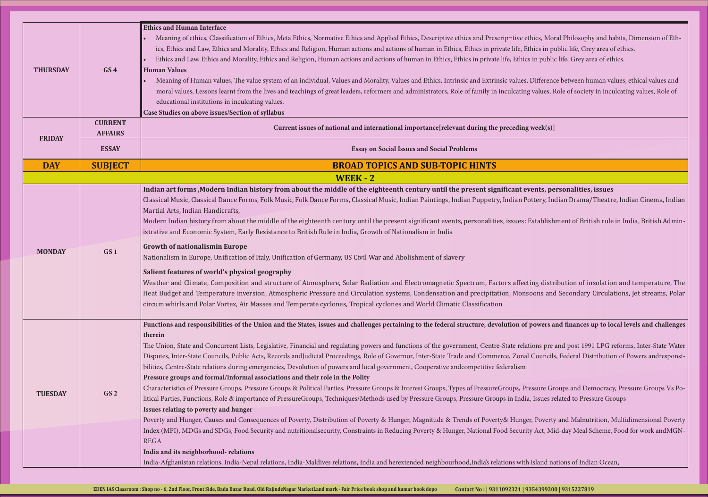hics, Moral Philosophy and habits, Dimension of Ethnics in public life, Grey area of ethics. in public life, Grey area of ethics.

Mifference between human values, ethical values and values, Role of society in inculcating values, Role of

**Indian Bishon Entern indian From Ents, personalities, issues** 

ttery, Indian Drama/Theatre, Indian Cinema, Indian

stablishment of British rule in India, British Admin-

ing distribution of insolation and temperature, The bons and Secondary Circulations, Jet streams, Polar

### **Fullence is and finances up to local levels and challenges**

tions pre and post 1991 LPG reforms, Inter-State Water Councils, Federal Distribution of Powers andresponsi-

ssure Groups and Democracy, Pressure Groups Vs Po-Issues related to Pressure Groups, Techniques, Pressure Groups, Pressure Groups, Pressure Groups, Pressure Groups

Poverty and Malnutrition, Multidimensional Poverty Act, Mid-day Meal Scheme, Food for work andMGN-

island nations of Indian Ocean,

| <b>THURSDAY</b> | GS <sub>4</sub> | <b>Ethics and Human Interface</b><br>Meaning of ethics, Classification of Ethics, Meta Ethics, Normative Ethics and Applied Ethics, Descriptive ethics and Prescrip¬tive ethics, Mo:<br>ics, Ethics and Law, Ethics and Morality, Ethics and Religion, Human actions and actions of human in Ethics, Ethics in private life, Ethics in pr<br>Ethics and Law, Ethics and Morality, Ethics and Religion, Human actions and actions of human in Ethics, Ethics in private life, Ethics in publi-<br><b>Human Values</b><br>Meaning of Human values, The value system of an individual, Values and Morality, Values and Ethics, Intrinsic and Extrinsic values, Differend<br>moral values, Lessons learnt from the lives and teachings of great leaders, reformers and administrators, Role of family in inculcating values, I<br>educational institutions in inculcating values.<br>Case Studies on above issues/Section of syllabus                                                                                                                                                                                                                                                                                                                                                                                                                                                                                                                                                                                                                 |
|-----------------|-----------------|---------------------------------------------------------------------------------------------------------------------------------------------------------------------------------------------------------------------------------------------------------------------------------------------------------------------------------------------------------------------------------------------------------------------------------------------------------------------------------------------------------------------------------------------------------------------------------------------------------------------------------------------------------------------------------------------------------------------------------------------------------------------------------------------------------------------------------------------------------------------------------------------------------------------------------------------------------------------------------------------------------------------------------------------------------------------------------------------------------------------------------------------------------------------------------------------------------------------------------------------------------------------------------------------------------------------------------------------------------------------------------------------------------------------------------------------------------------------------------------------------------------------------------------------------|
|                 | <b>CURRENT</b>  | Current issues of national and international importance [relevant during the preceding week(s)]                                                                                                                                                                                                                                                                                                                                                                                                                                                                                                                                                                                                                                                                                                                                                                                                                                                                                                                                                                                                                                                                                                                                                                                                                                                                                                                                                                                                                                                   |
| <b>FRIDAY</b>   | <b>AFFAIRS</b>  |                                                                                                                                                                                                                                                                                                                                                                                                                                                                                                                                                                                                                                                                                                                                                                                                                                                                                                                                                                                                                                                                                                                                                                                                                                                                                                                                                                                                                                                                                                                                                   |
|                 | <b>ESSAY</b>    | <b>Essay on Social Issues and Social Problems</b>                                                                                                                                                                                                                                                                                                                                                                                                                                                                                                                                                                                                                                                                                                                                                                                                                                                                                                                                                                                                                                                                                                                                                                                                                                                                                                                                                                                                                                                                                                 |
| <b>DAY</b>      | <b>SUBJECT</b>  | <b>BROAD TOPICS AND SUB-TOPIC HINTS</b>                                                                                                                                                                                                                                                                                                                                                                                                                                                                                                                                                                                                                                                                                                                                                                                                                                                                                                                                                                                                                                                                                                                                                                                                                                                                                                                                                                                                                                                                                                           |
|                 |                 | <b>WEEK - 2</b>                                                                                                                                                                                                                                                                                                                                                                                                                                                                                                                                                                                                                                                                                                                                                                                                                                                                                                                                                                                                                                                                                                                                                                                                                                                                                                                                                                                                                                                                                                                                   |
| <b>MONDAY</b>   | GS <sub>1</sub> | Indian art forms, Modern Indian history from about the middle of the eighteenth century until the present significant events, pe<br>Classical Music, Classical Dance Forms, Folk Music, Folk Dance Forms, Classical Music, Indian Paintings, Indian Puppetry, Indian Pottery, In<br>Martial Arts, Indian Handicrafts,<br>Modern Indian history from about the middle of the eighteenth century until the present significant events, personalities, issues: Establish<br>istrative and Economic System, Early Resistance to British Rule in India, Growth of Nationalism in India<br><b>Growth of nationalismin Europe</b><br>Nationalism in Europe, Unification of Italy, Unification of Germany, US Civil War and Abolishment of slavery<br>Salient features of world's physical geography<br>Weather and Climate, Composition and structure of Atmosphere, Solar Radiation and Electromagnetic Spectrum, Factors affecting distr<br>Heat Budget and Temperature inversion, Atmospheric Pressure and Circulation systems, Condensation and precipitation, Monsoons and<br>circum whirls and Polar Vortex, Air Masses and Temperate cyclones, Tropical cyclones and World Climatic Classification                                                                                                                                                                                                                                                                                                                                                |
| <b>TUESDAY</b>  | GS <sub>2</sub> | Functions and responsibilities of the Union and the States, issues and challenges pertaining to the federal structure, devolution of powers a<br>therein<br>The Union, State and Concurrent Lists, Legislative, Financial and regulating powers and functions of the government, Centre-State relations pre<br>Disputes, Inter-State Councils, Public Acts, Records andJudicial Proceedings, Role of Governor, Inter-State Trade and Commerce, Zonal Councils<br>bilities, Centre-State relations during emergencies, Devolution of powers and local government, Cooperative andcompetitive federalism<br>Pressure groups and formal/informal associations and their role in the Polity<br>Characteristics of Pressure Groups, Pressure Groups & Political Parties, Pressure Groups & Interest Groups, Types of PressureGroups, Pressure Gr<br>litical Parties, Functions, Role & importance of PressureGroups, Techniques/Methods used by Pressure Groups, Pressure Groups in India, Issues re<br>Issues relating to poverty and hunger<br>Poverty and Hunger, Causes and Consequences of Poverty, Distribution of Poverty & Hunger, Magnitude & Trends of Poverty& Hunger, Poverty<br>Index (MPI), MDGs and SDGs, Food Security and nutritionalsecurity, Constraints in Reducing Poverty & Hunger, National Food Security Act, Mi<br><b>REGA</b><br>India and its neighborhood-relations<br>India-Afghanistan relations, India-Nepal relations, India-Maldives relations, India and herextended neighbourhood, India's relations with island na |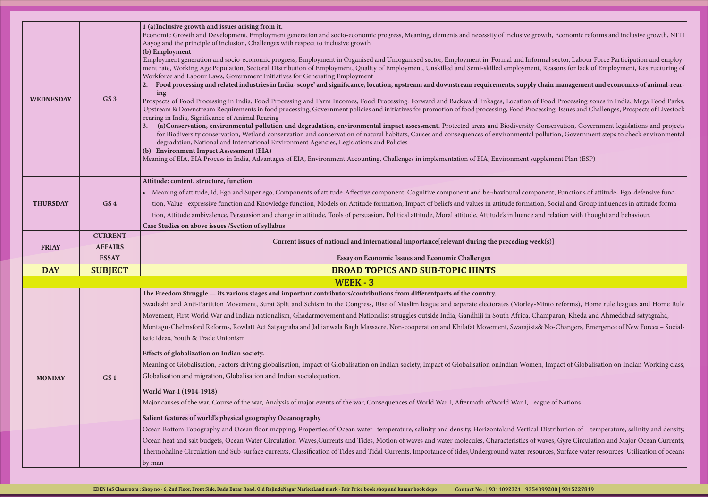growth, Economic reforms and inclusive growth, NITI

formal sector, Labour Force Participation and employent, Reasons for lack of Employment, Restructuring of

ly chain management and economics of animal-rear-

of Food Processing zones in India, Mega Food Parks, ocessing: Issues and Challenges, Prospects of Livestock

<sup>7</sup> Conservation, Government legislations and projects pollution, Government steps to check environmental pollution, Government steps to check environmental

supplement Plan (ESP)

mponent, Functions of attitude- Ego-defensive funcation, Social and Group influences in attitude formation and relation with thought and behaviour.

y-Minto reforms), Home rule leagues and Home Rule Champaran, Kheda and Ahmedabad satyagraha, sts& No-Changers, Emergence of New Forces – Social-

men, Impact of Globalisation on Indian Working class,

League of Nations

cal Distribution of - temperature, salinity and density, of waves, Gyre Circulation and Major Ocean Currents, sources, Surface water resources, Utilization of oceans

| WEDNESDAY       | GS <sub>3</sub> | 1 (a) Inclusive growth and issues arising from it.<br>Economic Growth and Development, Employment generation and socio-economic progress, Meaning, elements and necessity of inclusive growth,<br>Aayog and the principle of inclusion, Challenges with respect to inclusive growth<br>(b) Employment<br>Employment generation and socio-economic progress, Employment in Organised and Unorganised sector, Employment in Formal and Informal s<br>ment rate, Working Age Population, Sectoral Distribution of Employment, Quality of Employment, Unskilled and Semi-skilled employment, Rea<br>Workforce and Labour Laws, Government Initiatives for Generating Employment<br>Food processing and related industries in India- scope' and significance, location, upstream and downstream requirements, supply chain<br><b>2.</b><br>ing<br>Prospects of Food Processing in India, Food Processing and Farm Incomes, Food Processing: Forward and Backward linkages, Location of Food<br>Upstream & Downstream Requirements in food processing, Government policies and initiatives for promotion of food processing, Food Processing<br>rearing in India, Significance of Animal Rearing<br>(a) Conservation, environmental pollution and degradation, environmental impact assessment. Protected areas and Biodiversity Conse<br>for Biodiversity conservation, Wetland conservation and conservation of natural habitats, Causes and consequences of environmental polluti<br>degradation, National and International Environment Agencies, Legislations and Policies<br>(b) Environment Impact Assessment (EIA)<br>Meaning of EIA, EIA Process in India, Advantages of EIA, Environment Accounting, Challenges in implementation of EIA, Environment supplem |
|-----------------|-----------------|-------------------------------------------------------------------------------------------------------------------------------------------------------------------------------------------------------------------------------------------------------------------------------------------------------------------------------------------------------------------------------------------------------------------------------------------------------------------------------------------------------------------------------------------------------------------------------------------------------------------------------------------------------------------------------------------------------------------------------------------------------------------------------------------------------------------------------------------------------------------------------------------------------------------------------------------------------------------------------------------------------------------------------------------------------------------------------------------------------------------------------------------------------------------------------------------------------------------------------------------------------------------------------------------------------------------------------------------------------------------------------------------------------------------------------------------------------------------------------------------------------------------------------------------------------------------------------------------------------------------------------------------------------------------------------------------------------------------------------------------------------------------|
| <b>THURSDAY</b> | GS <sub>4</sub> | Attitude: content, structure, function<br>Meaning of attitude, Id, Ego and Super ego, Components of attitude-Affective component, Cognitive component and be¬havioural component<br>tion, Value -expressive function and Knowledge function, Models on Attitude formation, Impact of beliefs and values in attitude formation, So<br>tion, Attitude ambivalence, Persuasion and change in attitude, Tools of persuasion, Political attitude, Moral attitude, Attitude's influence and rel<br>Case Studies on above issues / Section of syllabus                                                                                                                                                                                                                                                                                                                                                                                                                                                                                                                                                                                                                                                                                                                                                                                                                                                                                                                                                                                                                                                                                                                                                                                                                   |
|                 | <b>CURRENT</b>  |                                                                                                                                                                                                                                                                                                                                                                                                                                                                                                                                                                                                                                                                                                                                                                                                                                                                                                                                                                                                                                                                                                                                                                                                                                                                                                                                                                                                                                                                                                                                                                                                                                                                                                                                                                   |
| <b>FRIAY</b>    | <b>AFFAIRS</b>  | Current issues of national and international importance [relevant during the preceding week(s)]                                                                                                                                                                                                                                                                                                                                                                                                                                                                                                                                                                                                                                                                                                                                                                                                                                                                                                                                                                                                                                                                                                                                                                                                                                                                                                                                                                                                                                                                                                                                                                                                                                                                   |
|                 | <b>ESSAY</b>    | <b>Essay on Economic Issues and Economic Challenges</b>                                                                                                                                                                                                                                                                                                                                                                                                                                                                                                                                                                                                                                                                                                                                                                                                                                                                                                                                                                                                                                                                                                                                                                                                                                                                                                                                                                                                                                                                                                                                                                                                                                                                                                           |
| <b>DAY</b>      | <b>SUBJECT</b>  | <b>BROAD TOPICS AND SUB-TOPIC HINTS</b>                                                                                                                                                                                                                                                                                                                                                                                                                                                                                                                                                                                                                                                                                                                                                                                                                                                                                                                                                                                                                                                                                                                                                                                                                                                                                                                                                                                                                                                                                                                                                                                                                                                                                                                           |
|                 |                 | <b>WEEK - 3</b>                                                                                                                                                                                                                                                                                                                                                                                                                                                                                                                                                                                                                                                                                                                                                                                                                                                                                                                                                                                                                                                                                                                                                                                                                                                                                                                                                                                                                                                                                                                                                                                                                                                                                                                                                   |
| <b>MONDAY</b>   |                 | The Freedom Struggle — its various stages and important contributors/contributions from differentparts of the country.<br>Swadeshi and Anti-Partition Movement, Surat Split and Schism in the Congress, Rise of Muslim league and separate electorates (Morley-Minto<br>Movement, First World War and Indian nationalism, Ghadarmovement and Nationalist struggles outside India, Gandhiji in South Africa, Champa<br>Montagu-Chelmsford Reforms, Rowlatt Act Satyagraha and Jallianwala Bagh Massacre, Non-cooperation and Khilafat Movement, Swarajists& No<br>istic Ideas, Youth & Trade Unionism<br>Effects of globalization on Indian society.                                                                                                                                                                                                                                                                                                                                                                                                                                                                                                                                                                                                                                                                                                                                                                                                                                                                                                                                                                                                                                                                                                               |
|                 | GS <sub>1</sub> | Meaning of Globalisation, Factors driving globalisation, Impact of Globalisation on Indian society, Impact of Globalisation onIndian Women, Impact of Globalisation onIndian Women, Impact<br>Globalisation and migration, Globalisation and Indian socialequation.<br>World War-I (1914-1918)<br>Major causes of the war, Course of the war, Analysis of major events of the war, Consequences of World War I, Aftermath of World War I, League c                                                                                                                                                                                                                                                                                                                                                                                                                                                                                                                                                                                                                                                                                                                                                                                                                                                                                                                                                                                                                                                                                                                                                                                                                                                                                                                |
|                 |                 | Salient features of world's physical geography Oceanography<br>Ocean Bottom Topography and Ocean floor mapping, Properties of Ocean water -temperature, salinity and density, Horizontaland Vertical Distr<br>Ocean heat and salt budgets, Ocean Water Circulation-Waves, Currents and Tides, Motion of waves and water molecules, Characteristics of waves<br>Thermohaline Circulation and Sub-surface currents, Classification of Tides and Tidal Currents, Importance of tides, Underground water resources                                                                                                                                                                                                                                                                                                                                                                                                                                                                                                                                                                                                                                                                                                                                                                                                                                                                                                                                                                                                                                                                                                                                                                                                                                                    |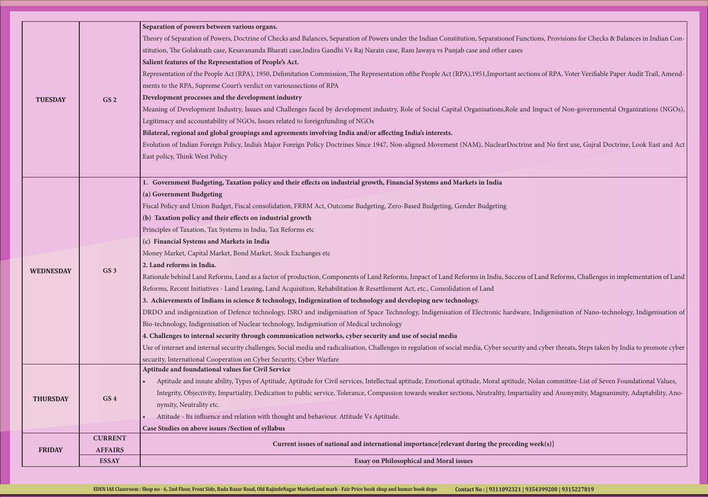tions, Provisions for Checks & Balances in Indian Con-

ons of RPA, Voter Verifiable Paper Audit Trail, Amend-

Impact of Non-governmental Organizations (NGOs),

evand No first use, Gujral Doctrine, Look East and Act

f Land Reforms, Challenges in implementation of Land

Indigenisation of Nano-technology, Indigenisation of

d cyber threats, Steps taken by India to promote cyber

Folan committee-List of Seven Foundational Values, Iity and Anonymity, Magnanimity, Adaptability, Ano-

|                  | <b>ESSAY</b>    | <b>Essay on Philosophical and Moral issues</b>                                                                                                                                                                                                                     |
|------------------|-----------------|--------------------------------------------------------------------------------------------------------------------------------------------------------------------------------------------------------------------------------------------------------------------|
| <b>FRIDAY</b>    | <b>AFFAIRS</b>  | Current issues of national and international importance[relevant during the preceding week(s)]                                                                                                                                                                     |
|                  | <b>CURRENT</b>  |                                                                                                                                                                                                                                                                    |
|                  |                 | Case Studies on above issues / Section of syllabus                                                                                                                                                                                                                 |
| <b>THURSDAY</b>  | GS <sub>4</sub> | nymity, Neutrality etc.<br>Attitude - Its influence and relation with thought and behaviour. Attitude Vs Aptitude.                                                                                                                                                 |
|                  |                 | Integrity, Objectivity, Impartiality, Dedication to public service, Tolerance, Compassion towards weaker sections, Neutrality, Impartiality and                                                                                                                    |
|                  |                 | Aptitude and innate ability, Types of Aptitude, Aptitude for Civil services, Intellectual aptitude, Emotional aptitude, Moral aptitude, Nolan co.                                                                                                                  |
|                  |                 | Aptitude and foundational values for Civil Service                                                                                                                                                                                                                 |
|                  |                 | security, International Cooperation on Cyber Security, Cyber Warfare                                                                                                                                                                                               |
|                  |                 | 4. Challenges to internal security through communication networks, cyber security and use of social media<br>Use of internet and internal security challenges, Social media and radicalisation, Challenges in regulation of social media, Cyber security and cyber |
|                  |                 | Bio-technology, Indigenisation of Nuclear technology, Indigenisation of Medical technology                                                                                                                                                                         |
|                  |                 | DRDO and indigenization of Defence technology, ISRO and indigenisation of Space Technology, Indigenisation of Electronic hardware, Indigen                                                                                                                         |
|                  |                 | 3. Achievements of Indians in science & technology, Indigenization of technology and developing new technology.                                                                                                                                                    |
|                  |                 | Reforms, Recent Initiatives - Land Leasing, Land Acquisition, Rehabilitation & Resettlement Act, etc., Consolidation of Land                                                                                                                                       |
|                  |                 | Rationale behind Land Reforms, Land as a factor of production, Components of Land Reforms, Impact of Land Reforms in India, Success of Land R                                                                                                                      |
| <b>WEDNESDAY</b> | GS <sub>3</sub> | 2. Land reforms in India.                                                                                                                                                                                                                                          |
|                  |                 | Money Market, Capital Market, Bond Market, Stock Exchanges etc                                                                                                                                                                                                     |
|                  |                 | (c) Financial Systems and Markets in India                                                                                                                                                                                                                         |
|                  |                 | Principles of Taxation, Tax Systems in India, Tax Reforms etc                                                                                                                                                                                                      |
|                  |                 | (b) Taxation policy and their effects on industrial growth                                                                                                                                                                                                         |
|                  |                 | Fiscal Policy and Union Budget, Fiscal consolidation, FRBM Act, Outcome Budgeting, Zero-Based Budgeting, Gender Budgeting                                                                                                                                          |
|                  |                 | (a) Government Budgeting                                                                                                                                                                                                                                           |
|                  |                 | 1. Government Budgeting, Taxation policy and their effects on industrial growth, Financial Systems and Markets in India                                                                                                                                            |
|                  |                 |                                                                                                                                                                                                                                                                    |
|                  |                 | East policy, Think West Policy                                                                                                                                                                                                                                     |
|                  |                 | Evolution of Indian Foreign Policy, India's Major Foreign Policy Doctrines Since 1947, Non-aligned Movement (NAM), NuclearDoctrine and No                                                                                                                          |
|                  |                 | Bilateral, regional and global groupings and agreements involving India and/or affecting India's interests.                                                                                                                                                        |
|                  |                 | Legitimacy and accountability of NGOs, Issues related to foreignfunding of NGOs                                                                                                                                                                                    |
|                  |                 | Meaning of Development Industry, Issues and Challenges faced by development industry, Role of Social Capital Organisations, Role and Impact                                                                                                                        |
| <b>TUESDAY</b>   | GS <sub>2</sub> | Development processes and the development industry                                                                                                                                                                                                                 |
|                  |                 | ments to the RPA, Supreme Court's verdict on varioussections of RPA                                                                                                                                                                                                |
|                  |                 | Representation of the People Act (RPA), 1950, Delimitation Commission, The Representation ofthe People Act (RPA), 1951, Important sections of R                                                                                                                    |
|                  |                 | Salient features of the Representation of People's Act.                                                                                                                                                                                                            |
|                  |                 | stitution, The Golaknath case, Kesavananda Bharati case, Indira Gandhi Vs Raj Narain case, Ram Jawaya vs Punjab case and other cases                                                                                                                               |
|                  |                 | Theory of Separation of Powers, Doctrine of Checks and Balances, Separation of Powers under the Indian Constitution, Separationof Functions, Pr                                                                                                                    |
|                  |                 |                                                                                                                                                                                                                                                                    |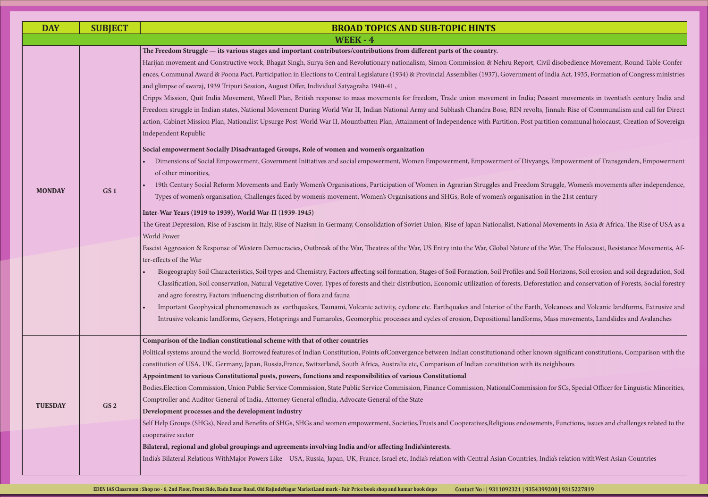t, Civil disobedience Movement, Round Table Confernt of India Act, 1935, Formation of Congress ministries

a; Peasant movements in twentieth century India and rolts, Jinnah: Rise of Communalism and call for Direct partition communal holocaust, Creation of Sovereign

Fyangs, Empowerment of Transgenders, Empowerment, Initiatives and social empowerment

om Struggle, Women's movements after independence, tion in the 21st century

onal Movements in Asia & Africa, The Rise of USA as a

of the War, The Holocaust, Resistance Movements, Af-

nd Soil Horizons, Soil erosion and soil degradation, Soil eforestation and conservation of Forests, Social forestry

arth, Volcanoes and Volcanic landforms, Extrusive and rms, Mass movements, Landslides and Avalanches

known significant constitutions, Comparison with the

ission for SCs, Special Officer for Linguistic Minorities,

wments, Functions, issues and challenges related to the

es, India's relation withWest Asian Countries

| <b>DAY</b>     | <b>SUBJECT</b>  | <b>BROAD TOPICS AND SUB-TOPIC HINTS</b>                                                                                                                                                                                                                                                                                                                                                                                                                                                                                                                                                                                                                                                                                                                                                                                                                                                                                                                                                                                                                                                                                                                                                                                                                                                                                                                                                                                                                                                                                                                                                                                                                                                                                                                                                                                                                                                                                                                                                                                                                                                                                                                                                                                                                                                                                                                                                                                                                                                                                                                                                                                                                                                                           |
|----------------|-----------------|-------------------------------------------------------------------------------------------------------------------------------------------------------------------------------------------------------------------------------------------------------------------------------------------------------------------------------------------------------------------------------------------------------------------------------------------------------------------------------------------------------------------------------------------------------------------------------------------------------------------------------------------------------------------------------------------------------------------------------------------------------------------------------------------------------------------------------------------------------------------------------------------------------------------------------------------------------------------------------------------------------------------------------------------------------------------------------------------------------------------------------------------------------------------------------------------------------------------------------------------------------------------------------------------------------------------------------------------------------------------------------------------------------------------------------------------------------------------------------------------------------------------------------------------------------------------------------------------------------------------------------------------------------------------------------------------------------------------------------------------------------------------------------------------------------------------------------------------------------------------------------------------------------------------------------------------------------------------------------------------------------------------------------------------------------------------------------------------------------------------------------------------------------------------------------------------------------------------------------------------------------------------------------------------------------------------------------------------------------------------------------------------------------------------------------------------------------------------------------------------------------------------------------------------------------------------------------------------------------------------------------------------------------------------------------------------------------------------|
|                |                 | <b>WEEK - 4</b>                                                                                                                                                                                                                                                                                                                                                                                                                                                                                                                                                                                                                                                                                                                                                                                                                                                                                                                                                                                                                                                                                                                                                                                                                                                                                                                                                                                                                                                                                                                                                                                                                                                                                                                                                                                                                                                                                                                                                                                                                                                                                                                                                                                                                                                                                                                                                                                                                                                                                                                                                                                                                                                                                                   |
| <b>MONDAY</b>  | GS <sub>1</sub> | The Freedom Struggle — its various stages and important contributors/contributions from different parts of the country.<br>Harijan movement and Constructive work, Bhagat Singh, Surya Sen and Revolutionary nationalism, Simon Commission & Nehru Report, Civil disobed<br>ences, Communal Award & Poona Pact, Participation in Elections to Central Legislature (1934) & Provincial Assemblies (1937), Government of India Act,<br>and glimpse of swaraj, 1939 Tripuri Session, August Offer, Individual Satyagraha 1940-41,<br>Cripps Mission, Quit India Movement, Wavell Plan, British response to mass movements for freedom, Trade union movement in India; Peasant mov<br>Freedom struggle in Indian states, National Movement During World War II, Indian National Army and Subhash Chandra Bose, RIN revolts, Jinnah: Ri<br>action, Cabinet Mission Plan, Nationalist Upsurge Post-World War II, Mountbatten Plan, Attainment of Independence with Partition, Post partition comi<br>Independent Republic<br>Social empowerment Socially Disadvantaged Groups, Role of women and women's organization<br>Dimensions of Social Empowerment, Government Initiatives and social empowerment, Women Empowerment, Empowerment of Divyangs, Empowe<br>of other minorities,<br>19th Century Social Reform Movements and Early Women's Organisations, Participation of Women in Agrarian Struggles and Freedom Struggle, W<br>Types of women's organisation, Challenges faced by women's movement, Women's Organisations and SHGs, Role of women's organisation in the 21st<br>Inter-War Years (1919 to 1939), World War-II (1939-1945)<br>The Great Depression, Rise of Fascism in Italy, Rise of Nazism in Germany, Consolidation of Soviet Union, Rise of Japan Nationalist, National Movement:<br><b>World Power</b><br>Fascist Aggression & Response of Western Democracies, Outbreak of the War, Theatres of the War, US Entry into the War, Global Nature of the War, The<br>ter-effects of the War<br>Biogeography Soil Characteristics, Soil types and Chemistry, Factors affecting soil formation, Stages of Soil Formation, Soil Profiles and Soil Horizons<br>Classification, Soil conservation, Natural Vegetative Cover, Types of forests and their distribution, Economic utilization of forests, Deforestation and<br>and agro forestry, Factors influencing distribution of flora and fauna<br>Important Geophysical phenomenasuch as earthquakes, Tsunami, Volcanic activity, cyclone etc. Earthquakes and Interior of the Earth, Volcanoes<br>Intrusive volcanic landforms, Geysers, Hotsprings and Fumaroles, Geomorphic processes and cycles of erosion, Depositional landforms, Mass move |
| <b>TUESDAY</b> | GS <sub>2</sub> | Comparison of the Indian constitutional scheme with that of other countries<br>Political systems around the world, Borrowed features of Indian Constitution, Points ofConvergence between Indian constitutionand other known signific<br>constitution of USA, UK, Germany, Japan, Russia, France, Switzerland, South Africa, Australia etc, Comparison of Indian constitution with its neighbours<br>Appointment to various Constitutional posts, powers, functions and responsibilities of various Constitutional<br>Bodies.Election Commission, Union Public Service Commission, State Public Service Commission, Finance Commission, NationalCommission for SCs, S<br>Comptroller and Auditor General of India, Attorney General ofIndia, Advocate General of the State<br>Development processes and the development industry<br>Self Help Groups (SHGs), Need and Benefits of SHGs, SHGs and women empowerment, Societies, Trusts and Cooperatives, Religious endowments, Functi<br>cooperative sector<br>Bilateral, regional and global groupings and agreements involving India and/or affecting India's interests.<br>India's Bilateral Relations WithMajor Powers Like - USA, Russia, Japan, UK, France, Israel etc, India's relation with Central Asian Countries, India's relation                                                                                                                                                                                                                                                                                                                                                                                                                                                                                                                                                                                                                                                                                                                                                                                                                                                                                                                                                                                                                                                                                                                                                                                                                                                                                                                                                                                                                      |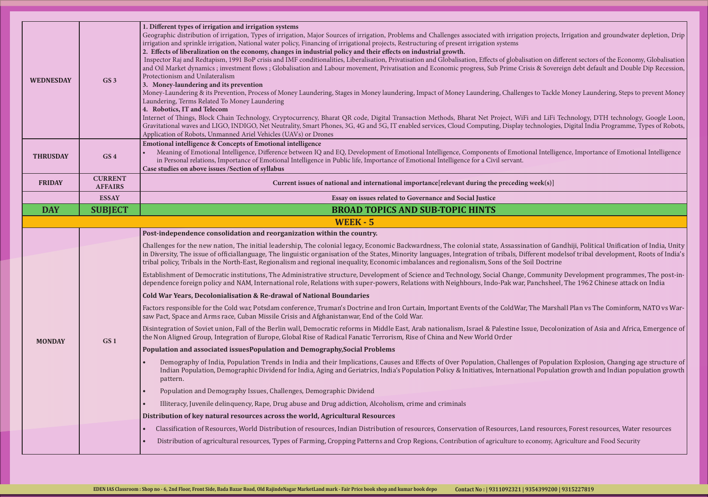projects, Irrigation and groundwater depletion, Drip

tion on different sectors of the Economy, Globalisation is & Sovereign debt default and Double Dip Recession,

to Tackle Money Laundering, Steps to prevent Money

and LiFi Technology, DTH technology, Google Loon, chnologies, Digital India Programme, Types of Robots,

<sup>a</sup> Intelligence, Importance of Emotional Intelligence

tion of Gandhiji, Political Unification of India, Unity erent modelsof tribal development, Roots of India's<br>il Doctrine

Community Development programmes, The post-inanchsheel. The 1962 Chinese attack on India

The Marshall Plan vs The Cominform, NATO vs War-

le, Decolonization of Asia and Africa, Emergence of

of Population Explosion, Changing age structure of al Population growth and Indian population growth

d resources, Forest resources, Water resources onomy, Agriculture and Food Security

| <b>WEDNESDAY</b> | GS <sub>3</sub>                  | 1. Different types of irrigation and irrigation systems<br>Geographic distribution of irrigation, Types of irrigation, Major Sources of irrigation, Problems and Challenges associated with irrigation projects,<br>irrigation and sprinkle irrigation, National water policy, Financing of irrigational projects, Restructuring of present irrigation systems<br>2. Effects of liberalization on the economy, changes in industrial policy and their effects on industrial growth.<br>Inspector Raj and Redtapism, 1991 BoP crisis and IMF conditionalities, Liberalisation, Privatisation and Globalisation, Effects of globalisation on dif<br>and Oil Market dynamics ; investment flows ; Globalisation and Labour movement, Privatisation and Economic progress, Sub Prime Crisis & Sovere<br>Protectionism and Unilateralism<br>3. Money-laundering and its prevention<br>Money-Laundering & its Prevention, Process of Money Laundering, Stages in Money laundering, Impact of Money Laundering, Challenges to Tackle<br>Laundering, Terms Related To Money Laundering<br>4. Robotics, IT and Telecom<br>Internet of Things, Block Chain Technology, Cryptocurrency, Bharat QR code, Digital Transaction Methods, Bharat Net Project, WiFi and LiFi T<br>Gravitational waves and LIGO, INDIGO, Net Neutrality, Smart Phones, 3G, 4G and 5G, IT enabled services, Cloud Computing, Display technologies,<br>Application of Robots, Unmanned Ariel Vehicles (UAVs) or Drones |
|------------------|----------------------------------|------------------------------------------------------------------------------------------------------------------------------------------------------------------------------------------------------------------------------------------------------------------------------------------------------------------------------------------------------------------------------------------------------------------------------------------------------------------------------------------------------------------------------------------------------------------------------------------------------------------------------------------------------------------------------------------------------------------------------------------------------------------------------------------------------------------------------------------------------------------------------------------------------------------------------------------------------------------------------------------------------------------------------------------------------------------------------------------------------------------------------------------------------------------------------------------------------------------------------------------------------------------------------------------------------------------------------------------------------------------------------------------------------------------------------------------------------------------------------------|
| <b>THRUSDAY</b>  | GS <sub>4</sub>                  | Emotional intelligence & Concepts of Emotional intelligence<br>Meaning of Emotional Intelligence, Difference between IQ and EQ, Development of Emotional Intelligence, Components of Emotional Intellige<br>in Personal relations, Importance of Emotional Intelligence in Public life, Importance of Emotional Intelligence for a Civil servant.<br>Case studies on above issues /Section of syllabus                                                                                                                                                                                                                                                                                                                                                                                                                                                                                                                                                                                                                                                                                                                                                                                                                                                                                                                                                                                                                                                                             |
| <b>FRIDAY</b>    | <b>CURRENT</b><br><b>AFFAIRS</b> | Current issues of national and international importance [relevant during the preceding week(s)]                                                                                                                                                                                                                                                                                                                                                                                                                                                                                                                                                                                                                                                                                                                                                                                                                                                                                                                                                                                                                                                                                                                                                                                                                                                                                                                                                                                    |
|                  | <b>ESSAY</b>                     | Essay on issues related to Governance and Social Justice                                                                                                                                                                                                                                                                                                                                                                                                                                                                                                                                                                                                                                                                                                                                                                                                                                                                                                                                                                                                                                                                                                                                                                                                                                                                                                                                                                                                                           |
| <b>DAY</b>       | <b>SUBJECT</b>                   | <b>BROAD TOPICS AND SUB-TOPIC HINTS</b>                                                                                                                                                                                                                                                                                                                                                                                                                                                                                                                                                                                                                                                                                                                                                                                                                                                                                                                                                                                                                                                                                                                                                                                                                                                                                                                                                                                                                                            |
|                  |                                  | <b>WEEK - 5</b>                                                                                                                                                                                                                                                                                                                                                                                                                                                                                                                                                                                                                                                                                                                                                                                                                                                                                                                                                                                                                                                                                                                                                                                                                                                                                                                                                                                                                                                                    |
|                  |                                  | Post-independence consolidation and reorganization within the country.                                                                                                                                                                                                                                                                                                                                                                                                                                                                                                                                                                                                                                                                                                                                                                                                                                                                                                                                                                                                                                                                                                                                                                                                                                                                                                                                                                                                             |
|                  |                                  | Challenges for the new nation, The initial leadership, The colonial legacy, Economic Backwardness, The colonial state, Assassination of Gar<br>in Diversity, The issue of officiallanguage, The linguistic organisation of the States, Minority languages, Integration of tribals, Different mod                                                                                                                                                                                                                                                                                                                                                                                                                                                                                                                                                                                                                                                                                                                                                                                                                                                                                                                                                                                                                                                                                                                                                                                   |
|                  |                                  | tribal policy, Tribals in the North-East, Regionalism and regional inequality, Economic imbalances and regionalism, Sons of the Soil Doctrine                                                                                                                                                                                                                                                                                                                                                                                                                                                                                                                                                                                                                                                                                                                                                                                                                                                                                                                                                                                                                                                                                                                                                                                                                                                                                                                                      |
|                  |                                  | dependence foreign policy and NAM, International role, Relations with super-powers, Relations with Neighbours, Indo-Pak war, Panchsheel                                                                                                                                                                                                                                                                                                                                                                                                                                                                                                                                                                                                                                                                                                                                                                                                                                                                                                                                                                                                                                                                                                                                                                                                                                                                                                                                            |
|                  |                                  | Establishment of Democratic institutions, The Administrative structure, Development of Science and Technology, Social Change, Community<br>Cold War Years, Decolonialisation & Re-drawal of National Boundaries                                                                                                                                                                                                                                                                                                                                                                                                                                                                                                                                                                                                                                                                                                                                                                                                                                                                                                                                                                                                                                                                                                                                                                                                                                                                    |
|                  |                                  | Factors responsible for the Cold war, Potsdam conference, Truman's Doctrine and Iron Curtain, Important Events of the ColdWar, The Marsh<br>saw Pact, Space and Arms race, Cuban Missile Crisis and Afghanistanwar, End of the Cold War.                                                                                                                                                                                                                                                                                                                                                                                                                                                                                                                                                                                                                                                                                                                                                                                                                                                                                                                                                                                                                                                                                                                                                                                                                                           |
| <b>MONDAY</b>    | GS <sub>1</sub>                  | Disintegration of Soviet union, Fall of the Berlin wall, Democratic reforms in Middle East, Arab nationalism, Israel & Palestine Issue, Decolor<br>the Non Aligned Group, Integration of Europe, Global Rise of Radical Fanatic Terrorism, Rise of China and New World Order                                                                                                                                                                                                                                                                                                                                                                                                                                                                                                                                                                                                                                                                                                                                                                                                                                                                                                                                                                                                                                                                                                                                                                                                       |
|                  |                                  | Population and associated issues Population and Demography, Social Problems                                                                                                                                                                                                                                                                                                                                                                                                                                                                                                                                                                                                                                                                                                                                                                                                                                                                                                                                                                                                                                                                                                                                                                                                                                                                                                                                                                                                        |
|                  |                                  | Demography of India, Population Trends in India and their Implications, Causes and Effects of Over Population, Challenges of Populat<br>Indian Population, Demographic Dividend for India, Aging and Geriatrics, India's Population Policy & Initiatives, International Populati<br>pattern.                                                                                                                                                                                                                                                                                                                                                                                                                                                                                                                                                                                                                                                                                                                                                                                                                                                                                                                                                                                                                                                                                                                                                                                       |
|                  |                                  | Population and Demography Issues, Challenges, Demographic Dividend                                                                                                                                                                                                                                                                                                                                                                                                                                                                                                                                                                                                                                                                                                                                                                                                                                                                                                                                                                                                                                                                                                                                                                                                                                                                                                                                                                                                                 |
|                  |                                  | Illiteracy, Juvenile delinquency, Rape, Drug abuse and Drug addiction, Alcoholism, crime and criminals                                                                                                                                                                                                                                                                                                                                                                                                                                                                                                                                                                                                                                                                                                                                                                                                                                                                                                                                                                                                                                                                                                                                                                                                                                                                                                                                                                             |
|                  |                                  | Distribution of key natural resources across the world, Agricultural Resources                                                                                                                                                                                                                                                                                                                                                                                                                                                                                                                                                                                                                                                                                                                                                                                                                                                                                                                                                                                                                                                                                                                                                                                                                                                                                                                                                                                                     |
|                  |                                  | Classification of Resources, World Distribution of resources, Indian Distribution of resources, Conservation of Resources, Land resource                                                                                                                                                                                                                                                                                                                                                                                                                                                                                                                                                                                                                                                                                                                                                                                                                                                                                                                                                                                                                                                                                                                                                                                                                                                                                                                                           |
|                  |                                  | Distribution of agricultural resources, Types of Farming, Cropping Patterns and Crop Regions, Contribution of agriculture to economy, Ag                                                                                                                                                                                                                                                                                                                                                                                                                                                                                                                                                                                                                                                                                                                                                                                                                                                                                                                                                                                                                                                                                                                                                                                                                                                                                                                                           |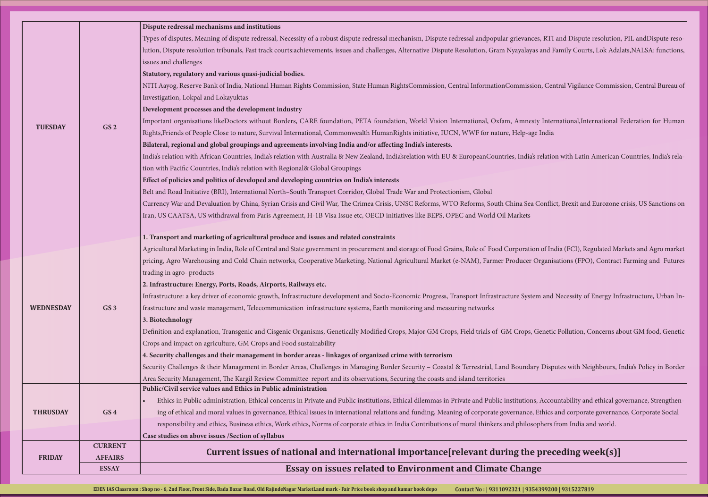tes, RTI and Dispute resolution, PIL andDispute resoras and Family Courts, Lok Adalats, NALSA: functions,

ion, Central Vigilance Commission, Central Bureau of

sty International, International Federation for Human

is relation with Latin American Countries, India's rela-

Gurrency Conflict, Brexit and Eurozone crisis, US Sanctions on

on of India (FCI), Regulated Markets and Agro market Organisations (FPO), Contract Farming and Futures

Infrastructure, Urban Infrastructure development and Necessity of Energy Infrastructure, Urban In-

, Genetic Pollution, Concerns about GM food, Genetic

Security Challenges & their Managhbours, Challenges in Border Border Security – Constant Border Security – Const

is, Accountability and ethical governance, Strengthening of ethics and corporate governance, Corporate Social issues international relations and funding  $\epsilon$ sophers from India and world.

## **Philop is contained interest international international interation**

| <b>ESSAY</b>                        | <b>Essay on issues related to Environment and Climate Change</b>                                                                                                                                                                                                                              |
|-------------------------------------|-----------------------------------------------------------------------------------------------------------------------------------------------------------------------------------------------------------------------------------------------------------------------------------------------|
| <b>AFFAIRS</b><br><b>FRIDAY</b>     | Current issues of national and international importance [relevant during the pred                                                                                                                                                                                                             |
| <b>CURRENT</b>                      |                                                                                                                                                                                                                                                                                               |
| <b>THRUSDAY</b><br>GS <sub>4</sub>  | ing of ethical and moral values in governance, Ethical issues in international relations and funding, Meaning of corporate governance, Ethics<br>responsibility and ethics, Business ethics, Work ethics, Norms of corporate ethics in India Contributions of moral thinkers and philosophers |
|                                     | Public/Civil service values and Ethics in Public administration<br>Ethics in Public administration, Ethical concerns in Private and Public institutions, Ethical dilemmas in Private and Public institutions, Acco                                                                            |
|                                     | Security Challenges & their Management in Border Areas, Challenges in Managing Border Security - Coastal & Terrestrial, Land Boundary Disp<br>Area Security Management, The Kargil Review Committee report and its observations, Securing the coasts and island territories                   |
|                                     | 4. Security challenges and their management in border areas - linkages of organized crime with terrorism                                                                                                                                                                                      |
|                                     | Definition and explanation, Transgenic and Cisgenic Organisms, Genetically Modified Crops, Major GM Crops, Field trials of GM Crops, Geneti<br>Crops and impact on agriculture, GM Crops and Food sustainability                                                                              |
|                                     |                                                                                                                                                                                                                                                                                               |
| <b>WEDNESDAY</b><br>GS <sub>3</sub> | frastructure and waste management, Telecommunication infrastructure systems, Earth monitoring and measuring networks                                                                                                                                                                          |
|                                     | Infrastructure: a key driver of economic growth, Infrastructure development and Socio-Economic Progress, Transport Infrastructure System and                                                                                                                                                  |
|                                     | 2. Infrastructure: Energy, Ports, Roads, Airports, Railways etc.                                                                                                                                                                                                                              |
|                                     |                                                                                                                                                                                                                                                                                               |
|                                     | pricing, Agro Warehousing and Cold Chain networks, Cooperative Marketing, National Agricultural Market (e-NAM), Farmer Producer Organi                                                                                                                                                        |
|                                     | Agricultural Marketing in India, Role of Central and State government in procurement and storage of Food Grains, Role of Food Corporation of In                                                                                                                                               |
|                                     | 1. Transport and marketing of agricultural produce and issues and related constraints                                                                                                                                                                                                         |
|                                     | Iran, US CAATSA, US withdrawal from Paris Agreement, H-1B Visa Issue etc, OECD initiatives like BEPS, OPEC and World Oil Markets                                                                                                                                                              |
|                                     | Currency War and Devaluation by China, Syrian Crisis and Civil War, The Crimea Crisis, UNSC Reforms, WTO Reforms, South China Sea Confli                                                                                                                                                      |
|                                     | Belt and Road Initiative (BRI), International North-South Transport Corridor, Global Trade War and Protectionism, Global                                                                                                                                                                      |
|                                     | Effect of policies and politics of developed and developing countries on India's interests                                                                                                                                                                                                    |
|                                     | tion with Pacific Countries, India's relation with Regional& Global Groupings                                                                                                                                                                                                                 |
|                                     | India's relation with African Countries, India's relation with Australia & New Zealand, India's relation with EU & EuropeanCountries, India's relation                                                                                                                                        |
|                                     | Bilateral, regional and global groupings and agreements involving India and/or affecting India's interests.                                                                                                                                                                                   |
| GS <sub>2</sub><br><b>TUESDAY</b>   | Rights, Friends of People Close to nature, Survival International, Commonwealth HumanRights initiative, IUCN, WWF for nature, Help-age India                                                                                                                                                  |
|                                     | Important organisations likeDoctors without Borders, CARE foundation, PETA foundation, World Vision International, Oxfam, Amnesty Inte                                                                                                                                                        |
|                                     |                                                                                                                                                                                                                                                                                               |
|                                     |                                                                                                                                                                                                                                                                                               |
|                                     | NITI Aayog, Reserve Bank of India, National Human Rights Commission, State Human RightsCommission, Central InformationCommission, Cen                                                                                                                                                         |
|                                     |                                                                                                                                                                                                                                                                                               |
|                                     |                                                                                                                                                                                                                                                                                               |
|                                     | lution, Dispute resolution tribunals, Fast track courts:achievements, issues and challenges, Alternative Dispute Resolution, Gram Nyayalayas and I                                                                                                                                            |
|                                     | Types of disputes, Meaning of dispute redressal, Necessity of a robust dispute redressal mechanism, Dispute redressal andpopular grievances, RTI                                                                                                                                              |
|                                     |                                                                                                                                                                                                                                                                                               |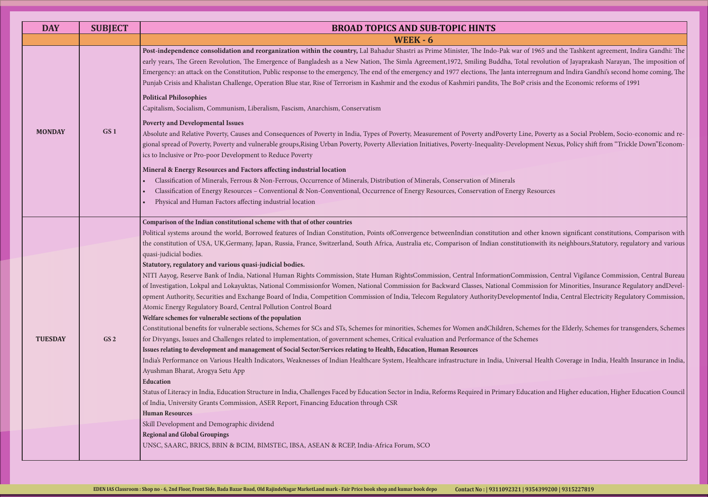1965 and the Tashkent agreement, Indira Gandhi: The revolution of Jayaprakash Narayan, The imposition of regnum and Indira Gandhi's second home coming, The isis and the Economic reforms of 1991

, Poverty as a Social Problem, Socio-economic and renent Nexus, Policy shift from "Trickle Down"Econom-

Political systems are world. Borrowerld, Borrowen are indian constitutions, Comparison with the constitution of USA, Tapaniany, France, Statutory, France, South Africa, Australia etc. Comparison of Indian constraints and various

ission, Central Vigilance Commission, Central Bureau ission for Minorities, Insurance Regulatory andDevelntof India, Central Electricity Regulatory Commission,

nes for the Elderly, Schemes for transgenders, Schemes

Health Coverage in India, Health Insurance in India, Health

ation and Higher education, Higher Education Council

| <b>DAY</b>     | <b>SUBJECT</b>  | <b>BROAD TOPICS AND SUB-TOPIC HINTS</b>                                                                                                                                                                                                                                                                                                                                                                                                                                                                                                                                                                                                                                                                                                                                                                                                                                                                                                                                                                                                                                                                                                                                                                                                                                                                                                                                                                                                                                                                                                                                                                                                             |
|----------------|-----------------|-----------------------------------------------------------------------------------------------------------------------------------------------------------------------------------------------------------------------------------------------------------------------------------------------------------------------------------------------------------------------------------------------------------------------------------------------------------------------------------------------------------------------------------------------------------------------------------------------------------------------------------------------------------------------------------------------------------------------------------------------------------------------------------------------------------------------------------------------------------------------------------------------------------------------------------------------------------------------------------------------------------------------------------------------------------------------------------------------------------------------------------------------------------------------------------------------------------------------------------------------------------------------------------------------------------------------------------------------------------------------------------------------------------------------------------------------------------------------------------------------------------------------------------------------------------------------------------------------------------------------------------------------------|
|                |                 | <b>WEEK - 6</b>                                                                                                                                                                                                                                                                                                                                                                                                                                                                                                                                                                                                                                                                                                                                                                                                                                                                                                                                                                                                                                                                                                                                                                                                                                                                                                                                                                                                                                                                                                                                                                                                                                     |
|                |                 | Post-independence consolidation and reorganization within the country, Lal Bahadur Shastri as Prime Minister, The Indo-Pak war of 1965 and<br>early years, The Green Revolution, The Emergence of Bangladesh as a New Nation, The Simla Agreement,1972, Smiling Buddha, Total revolutio<br>Emergency: an attack on the Constitution, Public response to the emergency, The end of the emergency and 1977 elections, The Janta interregnum a<br>Punjab Crisis and Khalistan Challenge, Operation Blue star, Rise of Terrorism in Kashmir and the exodus of Kashmiri pandits, The BoP crisis and                                                                                                                                                                                                                                                                                                                                                                                                                                                                                                                                                                                                                                                                                                                                                                                                                                                                                                                                                                                                                                                      |
|                |                 | <b>Political Philosophies</b><br>Capitalism, Socialism, Communism, Liberalism, Fascism, Anarchism, Conservatism                                                                                                                                                                                                                                                                                                                                                                                                                                                                                                                                                                                                                                                                                                                                                                                                                                                                                                                                                                                                                                                                                                                                                                                                                                                                                                                                                                                                                                                                                                                                     |
| <b>MONDAY</b>  | GS <sub>1</sub> | <b>Poverty and Developmental Issues</b><br>Absolute and Relative Poverty, Causes and Consequences of Poverty in India, Types of Poverty, Measurement of Poverty andPoverty Line, Poverty<br>gional spread of Poverty, Poverty and vulnerable groups, Rising Urban Poverty, Poverty Alleviation Initiatives, Poverty-Inequality-Development Nez<br>ics to Inclusive or Pro-poor Development to Reduce Poverty                                                                                                                                                                                                                                                                                                                                                                                                                                                                                                                                                                                                                                                                                                                                                                                                                                                                                                                                                                                                                                                                                                                                                                                                                                        |
|                |                 | Mineral & Energy Resources and Factors affecting industrial location<br>Classification of Minerals, Ferrous & Non-Ferrous, Occurrence of Minerals, Distribution of Minerals, Conservation of Minerals<br>Classification of Energy Resources - Conventional & Non-Conventional, Occurrence of Energy Resources, Conservation of Energy Resources<br>Physical and Human Factors affecting industrial location                                                                                                                                                                                                                                                                                                                                                                                                                                                                                                                                                                                                                                                                                                                                                                                                                                                                                                                                                                                                                                                                                                                                                                                                                                         |
| <b>TUESDAY</b> | GS <sub>2</sub> | Comparison of the Indian constitutional scheme with that of other countries<br>Political systems around the world, Borrowed features of Indian Constitution, Points ofConvergence betweenIndian constitution and other knov<br>the constitution of USA, UK, Germany, Japan, Russia, France, Switzerland, South Africa, Australia etc, Comparison of Indian constitutionwith its<br>quasi-judicial bodies.<br>Statutory, regulatory and various quasi-judicial bodies.<br>NITI Aayog, Reserve Bank of India, National Human Rights Commission, State Human RightsCommission, Central InformationCommission, C<br>of Investigation, Lokpal and Lokayuktas, National Commissionfor Women, National Commission for Backward Classes, National Commission fo<br>opment Authority, Securities and Exchange Board of India, Competition Commission of India, Telecom Regulatory AuthorityDevelopmentof Indi<br>Atomic Energy Regulatory Board, Central Pollution Control Board<br>Welfare schemes for vulnerable sections of the population<br>Constitutional benefits for vulnerable sections, Schemes for SCs and STs, Schemes for minorities, Schemes for Women andChildren, Schemes for tl<br>for Divyangs, Issues and Challenges related to implementation, of government schemes, Critical evaluation and Performance of the Schemes<br>Issues relating to development and management of Social Sector/Services relating to Health, Education, Human Resources<br>India's Performance on Various Health Indicators, Weaknesses of Indian Healthcare System, Healthcare infrastructure in India, Universal Health<br>Ayushman Bharat, Arogya Setu App |
|                |                 | Education<br>Status of Literacy in India, Education Structure in India, Challenges Faced by Education Sector in India, Reforms Required in Primary Education and<br>of India, University Grants Commission, ASER Report, Financing Education through CSR<br><b>Human Resources</b><br>Skill Development and Demographic dividend<br><b>Regional and Global Groupings</b><br>UNSC, SAARC, BRICS, BBIN & BCIM, BIMSTEC, IBSA, ASEAN & RCEP, India-Africa Forum, SCO                                                                                                                                                                                                                                                                                                                                                                                                                                                                                                                                                                                                                                                                                                                                                                                                                                                                                                                                                                                                                                                                                                                                                                                   |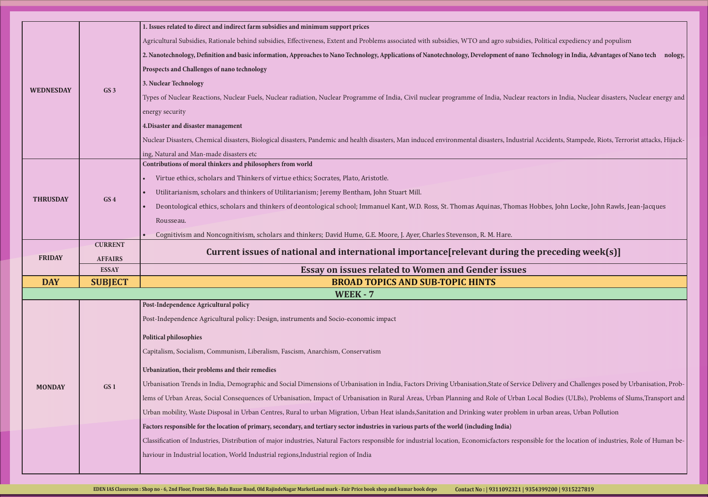, Political expediency and populism

Technology in India, Advantages of Nano tech nology,

eactors in India, Nuclear disasters, Nuclear energy and

nuclear Disasters, Chemical disasters, Periorist attacks, Hijack-nealth disasters, Man induced environmental A

• Deontological ethics, scholars and thinkers of deontological school; Immanuel Kant, W.D. Ross, St. Thomas Aquinas, Thomas Hobbes, John Locke, John Rawls, Jean-Jacques

## **e** preceding week(s)]

Delivery and Challenges posed by Urbanisation, Problemaareas (Consequences of Slums, Interpretences of Slums, Interpretences of Slums, Interpretence of  $S$ in urban areas, Urban Pollution

isible for the location of industries, Role of Human be-

| <b>WEDNESDAY</b> | GS <sub>3</sub> | 1. Issues related to direct and indirect farm subsidies and minimum support prices<br>Agricultural Subsidies, Rationale behind subsidies, Effectiveness, Extent and Problems associated with subsidies, WTO and agro subsidies,<br>2. Nanotechnology, Definition and basic information, Approaches to Nano Technology, Applications of Nanotechnology, Development of nano<br>Prospects and Challenges of nano technology<br>3. Nuclear Technology<br>Types of Nuclear Reactions, Nuclear Fuels, Nuclear radiation, Nuclear Programme of India, Civil nuclear programme of India, Nuclear re<br>energy security<br>4. Disaster and disaster management<br>Nuclear Disasters, Chemical disasters, Biological disasters, Pandemic and health disasters, Man induced environmental disasters, Industria<br>ing, Natural and Man-made disasters etc |
|------------------|-----------------|-------------------------------------------------------------------------------------------------------------------------------------------------------------------------------------------------------------------------------------------------------------------------------------------------------------------------------------------------------------------------------------------------------------------------------------------------------------------------------------------------------------------------------------------------------------------------------------------------------------------------------------------------------------------------------------------------------------------------------------------------------------------------------------------------------------------------------------------------|
| <b>THRUSDAY</b>  | GS <sub>4</sub> | Contributions of moral thinkers and philosophers from world<br>Virtue ethics, scholars and Thinkers of virtue ethics; Socrates, Plato, Aristotle.<br>Utilitarianism, scholars and thinkers of Utilitarianism; Jeremy Bentham, John Stuart Mill.<br>Deontological ethics, scholars and thinkers of deontological school; Immanuel Kant, W.D. Ross, St. Thomas Aquinas, Thomas I<br>$\bullet$<br>Rousseau.<br>Cognitivism and Noncognitivism, scholars and thinkers; David Hume, G.E. Moore, J. Ayer, Charles Stevenson, R. M. Hare.                                                                                                                                                                                                                                                                                                              |
|                  | <b>CURRENT</b>  |                                                                                                                                                                                                                                                                                                                                                                                                                                                                                                                                                                                                                                                                                                                                                                                                                                                 |
|                  |                 |                                                                                                                                                                                                                                                                                                                                                                                                                                                                                                                                                                                                                                                                                                                                                                                                                                                 |
| <b>FRIDAY</b>    | <b>AFFAIRS</b>  | Current issues of national and international importance [relevant during the                                                                                                                                                                                                                                                                                                                                                                                                                                                                                                                                                                                                                                                                                                                                                                    |
|                  | <b>ESSAY</b>    | <b>Essay on issues related to Women and Gender issues</b>                                                                                                                                                                                                                                                                                                                                                                                                                                                                                                                                                                                                                                                                                                                                                                                       |
| <b>DAY</b>       | <b>SUBJECT</b>  | <b>BROAD TOPICS AND SUB-TOPIC HINTS</b>                                                                                                                                                                                                                                                                                                                                                                                                                                                                                                                                                                                                                                                                                                                                                                                                         |
|                  |                 | <b>WEEK - 7</b><br>Post-Independence Agricultural policy                                                                                                                                                                                                                                                                                                                                                                                                                                                                                                                                                                                                                                                                                                                                                                                        |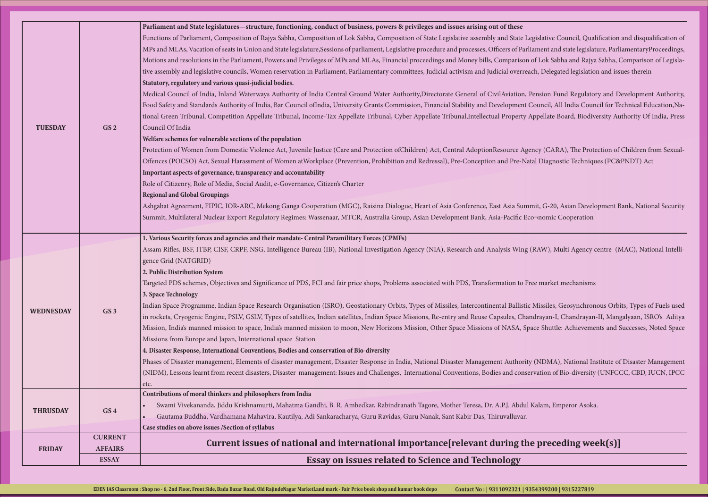gislative Council, Qualification and disqualification of ament and state legislature, ParliamentaryProceedings, of Lok Sabha and Rajya Sabha, Comparison of Legislach, Delegated legislation and issues therein

Pension Fund Regulatory and Development Authority, ouncil, All India Council for Technical Education, Na-Appellate Board, Biodiversity Authority Of India, Press

ncy (CARA), The Protection of Children from Sexualal Diagnostic Techniques (PC&PNDT) Act

hit, G-20, Asian Development Bank, National Security nomic Cooperation

RAW), Multi Agency centre (MAC), National Intelli-

ee market mechanisms

Missiles, Geosynchronous Orbits, Types of Fuels used idrayan-I, Chandrayan-II, Mangalyaan, ISRO's Aditya ace Shuttle: Achievements and Successes, Noted Space

(NDMA), National Institute of Disaster Management tration of Bio-diversity (UNFCCC, CBD, IUCN, IPCC

 $K$ alam, Emperor Asoka.

## **Philop is conting intered in the preceding week(s)]**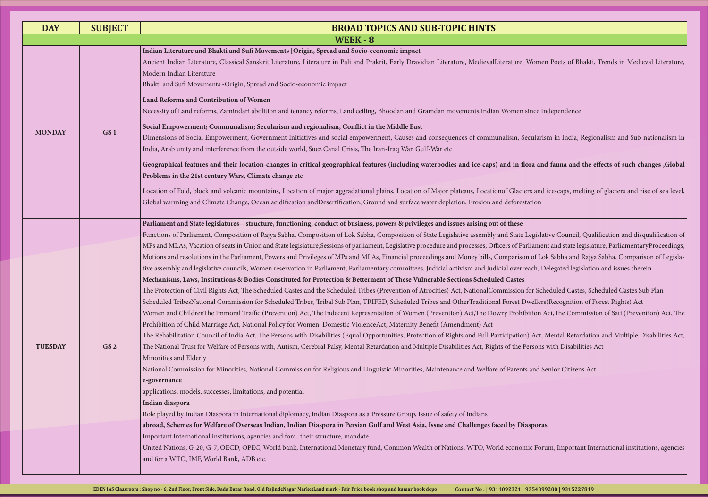<sup>J</sup>omen Poets of Bhakti, Trends in Medieval Literature,

nce Independence

cularism in India, Regionalism and Sub-nationalism in

### ra and fauna and the effects of such changes ,Global

and ice-caps, melting of glaciers and rise of sea level,

egislative Council, Qualification and disqualification of iament and state legislature, ParliamentaryProceedings, of Lok Sabha and Rajya Sabha, Comparison of Legislative and issues therein reservation in Parliamentary controls, Pelegated legislation and issues therein

The Scheduled Castes, Scheduled Castes Sub Plan  $S$ ellers(Recognition of Forest Rights) Acthe tion Act, The Commission of Sati (Prevention) Act, The

Act, Mental Retardation and Multiple Disabilities Act, The National Trust for Welfare of Persons with Disabilities Act, Rights Act, Rights of the Persons with Disabilities Act, Rights of the Persons and Multiple Disabilities Act, Rights of the Persons and Multiple Disabilities

and Senior Citizens Act

United Nations, C-20, Denotational Monetary funds, Corrections, Engineering funditions, Common Common Common C

| <b>DAY</b>     | <b>SUBJECT</b>  | <b>BROAD TOPICS AND SUB-TOPIC HINTS</b>                                                                                                                                                                                                                                                                                                                                                                                                                                                                                                                                                                                                                                                                                                                                                                                                                                                                                                                                                                                                                                                                                                                                                                                                                                                                                                                                                                                                                                                                                                                                                                                                                                                                                                            |
|----------------|-----------------|----------------------------------------------------------------------------------------------------------------------------------------------------------------------------------------------------------------------------------------------------------------------------------------------------------------------------------------------------------------------------------------------------------------------------------------------------------------------------------------------------------------------------------------------------------------------------------------------------------------------------------------------------------------------------------------------------------------------------------------------------------------------------------------------------------------------------------------------------------------------------------------------------------------------------------------------------------------------------------------------------------------------------------------------------------------------------------------------------------------------------------------------------------------------------------------------------------------------------------------------------------------------------------------------------------------------------------------------------------------------------------------------------------------------------------------------------------------------------------------------------------------------------------------------------------------------------------------------------------------------------------------------------------------------------------------------------------------------------------------------------|
|                |                 | <b>WEEK - 8</b>                                                                                                                                                                                                                                                                                                                                                                                                                                                                                                                                                                                                                                                                                                                                                                                                                                                                                                                                                                                                                                                                                                                                                                                                                                                                                                                                                                                                                                                                                                                                                                                                                                                                                                                                    |
| <b>MONDAY</b>  |                 | Indian Literature and Bhakti and Sufi Movements [Origin, Spread and Socio-economic impact<br>Ancient Indian Literature, Classical Sanskrit Literature, Literature in Pali and Prakrit, Early Dravidian Literature, MedievalLiterature, Womer<br>Modern Indian Literature<br>Bhakti and Sufi Movements -Origin, Spread and Socio-economic impact                                                                                                                                                                                                                                                                                                                                                                                                                                                                                                                                                                                                                                                                                                                                                                                                                                                                                                                                                                                                                                                                                                                                                                                                                                                                                                                                                                                                    |
|                | GS <sub>1</sub> | Land Reforms and Contribution of Women<br>Necessity of Land reforms, Zamindari abolition and tenancy reforms, Land ceiling, Bhoodan and Gramdan movements, Indian Women since In<br>Social Empowerment; Communalism; Secularism and regionalism, Conflict in the Middle East<br>Dimensions of Social Empowerment, Government Initiatives and social empowerment, Causes and consequences of communalism, Secularis<br>India, Arab unity and interference from the outside world, Suez Canal Crisis, The Iran-Iraq War, Gulf-War etc                                                                                                                                                                                                                                                                                                                                                                                                                                                                                                                                                                                                                                                                                                                                                                                                                                                                                                                                                                                                                                                                                                                                                                                                                |
|                |                 | Geographical features and their location-changes in critical geographical features (including waterbodies and ice-caps) and in flora and<br>Problems in the 21st century Wars, Climate change etc                                                                                                                                                                                                                                                                                                                                                                                                                                                                                                                                                                                                                                                                                                                                                                                                                                                                                                                                                                                                                                                                                                                                                                                                                                                                                                                                                                                                                                                                                                                                                  |
|                |                 | Location of Fold, block and volcanic mountains, Location of major aggradational plains, Location of Major plateaus, Locationof Glaciers and<br>Global warming and Climate Change, Ocean acidification andDesertification, Ground and surface water depletion, Erosion and deforestation                                                                                                                                                                                                                                                                                                                                                                                                                                                                                                                                                                                                                                                                                                                                                                                                                                                                                                                                                                                                                                                                                                                                                                                                                                                                                                                                                                                                                                                            |
| <b>TUESDAY</b> | GS <sub>2</sub> | Parliament and State legislatures-structure, functioning, conduct of business, powers & privileges and issues arising out of these<br>Functions of Parliament, Composition of Rajya Sabha, Composition of Lok Sabha, Composition of State Legislative assembly and State Legislat<br>MPs and MLAs, Vacation of seats in Union and State legislature, Sessions of parliament, Legislative procedure and processes, Officers of Parliamen<br>Motions and resolutions in the Parliament, Powers and Privileges of MPs and MLAs, Financial proceedings and Money bills, Comparison of Lol<br>tive assembly and legislative councils, Women reservation in Parliament, Parliamentary committees, Judicial activism and Judicial overreach, Do<br>Mechanisms, Laws, Institutions & Bodies Constituted for Protection & Betterment of These Vulnerable Sections Scheduled Castes<br>The Protection of Civil Rights Act, The Scheduled Castes and the Scheduled Tribes (Prevention of Atrocities) Act, NationalCommission for Sche<br>Scheduled TribesNational Commission for Scheduled Tribes, Tribal Sub Plan, TRIFED, Scheduled Tribes and OtherTraditional Forest Dwellers<br>Women and ChildrenThe Immoral Traffic (Prevention) Act, The Indecent Representation of Women (Prevention) Act, The Dowry Prohibition A<br>Prohibition of Child Marriage Act, National Policy for Women, Domestic ViolenceAct, Maternity Benefit (Amendment) Act<br>The Rehabilitation Council of India Act, The Persons with Disabilities (Equal Opportunities, Protection of Rights and Full Participation) Act, N<br>The National Trust for Welfare of Persons with, Autism, Cerebral Palsy, Mental Retardation and Multiple Disabilities Act, Rights of the Persons v |
|                |                 | Minorities and Elderly<br>National Commission for Minorities, National Commission for Religious and Linguistic Minorities, Maintenance and Welfare of Parents and Se<br>e-governance<br>applications, models, successes, limitations, and potential<br>Indian diaspora<br>Role played by Indian Diaspora in International diplomacy, Indian Diaspora as a Pressure Group, Issue of safety of Indians<br>abroad, Schemes for Welfare of Overseas Indian, Indian Diaspora in Persian Gulf and West Asia, Issue and Challenges faced by Diasporas                                                                                                                                                                                                                                                                                                                                                                                                                                                                                                                                                                                                                                                                                                                                                                                                                                                                                                                                                                                                                                                                                                                                                                                                     |
|                |                 | Important International institutions, agencies and fora-their structure, mandate<br>United Nations, G-20, G-7, OECD, OPEC, World bank, International Monetary fund, Common Wealth of Nations, WTO, World economic Foru<br>and for a WTO, IMF, World Bank, ADB etc.                                                                                                                                                                                                                                                                                                                                                                                                                                                                                                                                                                                                                                                                                                                                                                                                                                                                                                                                                                                                                                                                                                                                                                                                                                                                                                                                                                                                                                                                                 |